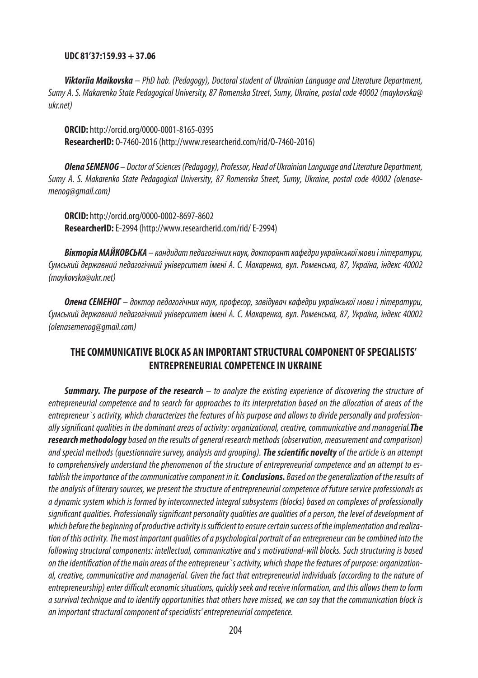### **UDC 81'37:159.93 + 37.06**

*Viktoriia Maikovska – PhD hab. (Pedagogy), Doctoral student of Ukrainian Language and Literature Department, Sumy A. S. Makarenko State Pedagogical University, 87 Romenska Street, Sumy, Ukraine, postal code 40002 (maykovska@ ukr.net)*

**ORCID:** http://orcid.org/0000-0001-8165-0395 **ResearcherID:** O-7460-2016(http://www.researcherid.com/rid/O-7460-2016)

*Olena SEMENOG – DoctorofSciences (Pedagogy), Professor, Headof UkrainianLanguageandLiterature Department, Sumy A. S. Makarenko State Pedagogical University, 87 Romenska Street, Sumy, Ukraine, postal code 40002 (olenasemenog@gmail.com)*

**ORCID:** http://orcid.org/0000-0002-8697-8602 **ResearcherID:** E-2994 (http://www.researcherid.com/rid/ E-2994)

*Вікторія МАЙКОВСЬКА – кандидат педагогічних наук, докторант кафедри української мови і літератури, Сумський державний педагогічний університет імені А. С. Макаренка, вул. Роменська, 87, Україна, індекс 40002 (maykovska@ukr.net)*

*Олена СЕМЕНОГ – доктор педагогічних наук, професор, завідувач кафедри української мови і літератури, Сумський державний педагогічний університет імені А. С. Макаренка, вул. Роменська, 87, Україна, індекс 40002 (olenasemenog@gmail.com)*

## **THE COMMUNICATIVE BLOCK AS AN IMPORTANT STRUCTURAL COMPONENT OF SPECIALISTS' ENTREPRENEURIAL COMPETENCE IN UKRAINE**

*Summary. The purpose of the research – to analyze the existing experience of discovering the structure of entrepreneurial competence and to search for approaches to its interpretation based on the allocation of areas of the entrepreneur`s activity, which characterizes the features of his purpose and allows to divide personally and professionally significant qualities in the dominant areas of activity: organizational, creative, communicative and managerial.The researchmethodologybased on the results of general research methods (observation, measurement and comparison) and special methods (questionnaire survey, analysis and grouping). The scientific noveltyof the article is an attempt to comprehensively understand the phenomenon of the structure of entrepreneurial competence and an attempt to establish the importance of the communicative component in it.Conclusions. Based on the generalization of the results of the analysis of literary sources, we present the structure of entrepreneurial competence of future service professionals as a dynamic system which is formed by interconnected integral subsystems (blocks) based on complexes of professionally significant qualities.Professionally significant personality qualities are qualities of a person, the level of development of which before the beginning of productive activity is sufficient to ensure certain success of the implementation and realization of this activity.The most important qualities of a psychological portrait of an entrepreneur can be combined into the following structural components: intellectual, communicative and s motivational-will blocks. Such structuring is based on the identification of the main areas of the entrepreneur`s activity, which shape the features of purpose: organizational, creative, communicative and managerial. Given the fact that entrepreneurial individuals (according to the nature of entrepreneurship) enter difficult economic situations, quickly seek and receive information, and this allows them to form a survival technique and to identify opportunities that others have missed, we can say that the communication block is an important structural component of specialists' entrepreneurial competence.*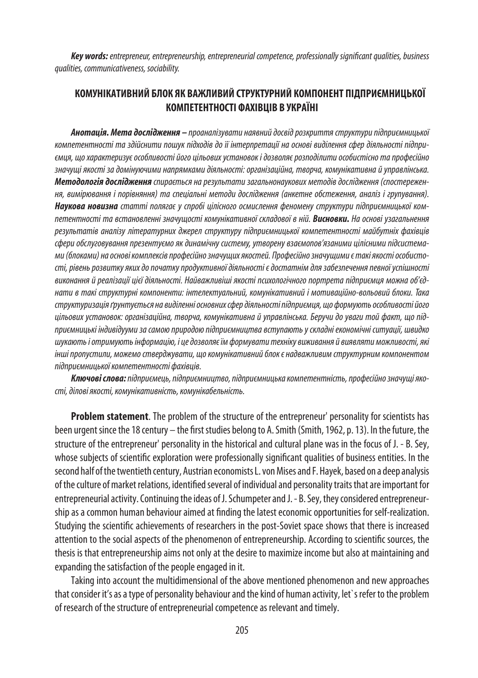*Key words: entrepreneur, entrepreneurship, entrepreneurial competence, professionally significant qualities, business qualities, communicativeness, sociability.*

# **КОМУНІКАТИВНИЙ БЛОК ЯК ВАЖЛИВИЙ СТРУКТУРНИЙ КОМПОНЕНТ ПІДПРИЄМНИЦЬКОЇ КОМПЕТЕНТНОСТІ ФАХІВЦІВ В УКРАЇНІ**

*Анотація. Мета дослідження – проаналізувати наявний досвід розкриття структури підприємницької компетентності та здійснити пошук підходів до її інтерпретації на основі виділення сфер діяльності підприємця, що характеризує особливості його цільових установок і дозволяє розподілити особистісно та професійно значущі якості за домінуючими напрямками діяльності: організаційна, творча, комунікативна й управлінська. Методологія дослідження спирається на результати загальнонаукових методів дослідження (спостереження, вимірювання і порівняння) та спеціальні методи дослідження (анкетне обстеження, аналіз і групування). Наукова новизна статті полягає у спробі цілісного осмислення феномену структури підприємницької компетентності та встановленні значущості комунікативної складової в ній. Висновки. На основі узагальнення результатів аналізу літературних джерел структуру підприємницької компетентності майбутніх фахівців сфери обслуговування презентуємо як динамічну систему, утворену взаємопов'язаними цілісними підсистемами (блоками) на основі комплексів професійно значущих якостей. Професійно значущими є такі якості особистості, рівень розвитку яких до початку продуктивної діяльності є достатнім для забезпечення певної успішності виконання й реалізації цієї діяльності. Найважливіші якості психологічного портрета підприємця можна об'єднати в такі структурні компоненти: інтелектуальний, комунікативний і мотиваційно-вольовий блоки. Така структуризація ґрунтується навиділенні основних сфер діяльності підприємця, що формують особливості його цільових установок: організаційна, творча, комунікативна й управлінська. Беручи до уваги той факт, що підприємницькі індивідууми за самою природою підприємництва вступають у складні економічні ситуації, швидко шукають і отримують інформацію, і це дозволяє їм формувати техніку виживання й виявляти можливості, які інші пропустили, можемо стверджувати, що комунікативний блок є надважливим структурним компонентом підприємницької компетентності фахівців.*

*Ключові слова:підприємець, підприємництво, підприємницька компетентність, професійно значущі якості, ділові якості, комунікативність, комунікабельність.*

**Problem statement**. The problem of the structure of the entrepreneur' personality for scientists has been urgent since the 18 century – the first studies belong to A. Smith (Smith,1962,p. 13). In the future, the structure of the entrepreneur' personality in the historical and cultural plane was in the focus of J. - B. Sey, whose subjects of scientific exploration were professionally significant qualities of business entities. In the second half of the twentieth century, Austrian economists L. von Mises and F. Hayek, based on a deep analysis of the culture of market relations, identified several of individual and personality traits that are important for entrepreneurial activity. Continuing the ideas of J. Schumpeter and J. - B. Sey, they considered entrepreneurship as a common human behaviour aimed at finding the latest economic opportunities for self-realization. Studying the scientific achievements of researchers in the post-Soviet space shows that there is increased attention to the social aspects of the phenomenon of entrepreneurship. According to scientific sources, the thesis is that entrepreneurship aims not only at the desire to maximize income but also at maintaining and expanding the satisfaction of the people engaged in it.

Taking into account the multidimensional of the above mentioned phenomenon and new approaches that consider it's as a type of personality behaviour and the kind of human activity, let`s refer to the problem of research of the structure of entrepreneurial competence as relevant and timely.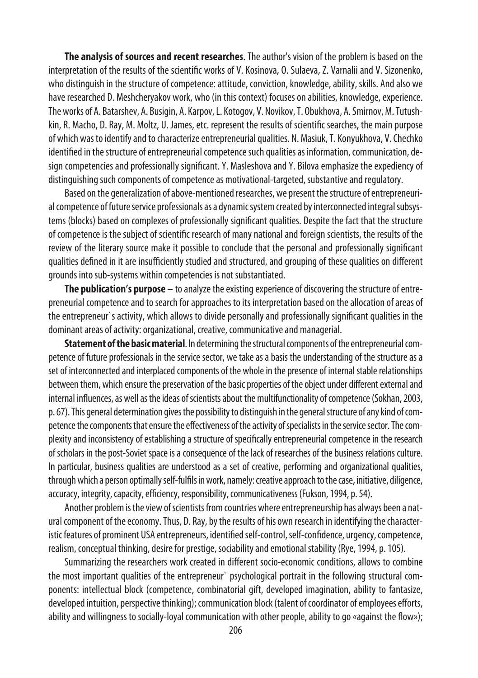**The analysis of sources and recent researches**. The author's vision of the problem is based on the interpretation of the results of the scientific works of V. Kosinova, O. Sulaeva, Z. Varnalii and V. Sizonenko, who distinguish in the structure of competence: attitude, conviction, knowledge, ability, skills. And also we have researched D. Meshcheryakov work, who (in this context) focuses on abilities, knowledge, experience. The works of A. Batarshev, A. Busigin, A. Karpov, L. Kotogov, V. Novikov, T. Obukhova, A. Smirnov, M. Tutushkin, R. Macho, D. Ray, M. Moltz, U. James, etc. represent the results of scientific searches, the main purpose of which was to identify and to characterize entrepreneurial qualities. N. Masiuk, T. Konyukhova, V. Chechko identified in the structure of entrepreneurial competence such qualities as information, communication, design competencies and professionally significant. Y. Masleshova and Y. Bilova emphasize the expediency of distinguishing such components of competence as motivational-targeted, substantive and regulatory.

Based on the generalization of above-mentioned researches, we present the structure of entrepreneurial competence of future service professionals as a dynamic system created by interconnected integral subsystems (blocks) based on complexes of professionally significant qualities. Despite the fact that the structure of competence is the subject of scientific research of many national and foreign scientists, the results of the review of the literary source make it possible to conclude that the personal and professionally significant qualities defined in it are insufficiently studied and structured, and grouping of these qualities on different grounds into sub-systems within competencies is not substantiated.

**The publication's purpose** – to analyze the existing experience of discovering the structure of entrepreneurial competence and to search for approaches to its interpretation based on the allocation of areas of the entrepreneur`s activity, which allows to divide personally and professionally significant qualities in the dominant areas of activity: organizational, creative, communicative and managerial.

**Statement of the basic material**. In determining the structural components of the entrepreneurial competence of future professionals in the service sector, we take as a basis the understanding of the structure as a set of interconnected and interplaced components of the whole in the presence of internal stable relationships between them, which ensure the preservation of the basic properties of the object under different external and internal influences, as well as the ideas of scientists about the multifunctionality of competence (Sokhan, 2003, p.67). This general determination gives the possibility to distinguish in the general structure of any kind of competence the components that ensure the effectiveness of the activity of specialists in the service sector. The complexity and inconsistency of establishing a structure of specifically entrepreneurial competence in the research of scholars in the post-Soviet space is a consequence of the lack of researches of the business relations culture. In particular, business qualities are understood as a set of creative, performing and organizational qualities, through which a person optimally self-fulfils in work, namely: creative approach to the case, initiative, diligence, accuracy, integrity, capacity, efficiency, responsibility, communicativeness (Fukson, 1994, p.54).

Another problem is the view of scientists from countries where entrepreneurship has always been a natural component of the economy. Thus, D. Ray, by the results of his own research in identifying the characteristic features of prominent USA entrepreneurs, identified self-control, self-confidence, urgency, competence, realism, conceptual thinking, desire for prestige, sociability and emotional stability (Rye, 1994, p.105).

Summarizing the researchers work created in different socio-economic conditions, allows to combine the most important qualities of the entrepreneur` psychological portrait in the following structural components: intellectual block (competence, combinatorial gift, developed imagination, ability to fantasize, developed intuition, perspective thinking); communication block (talent of coordinator of employees efforts, ability and willingness to socially-loyal communication with other people, ability to go «against the flow»);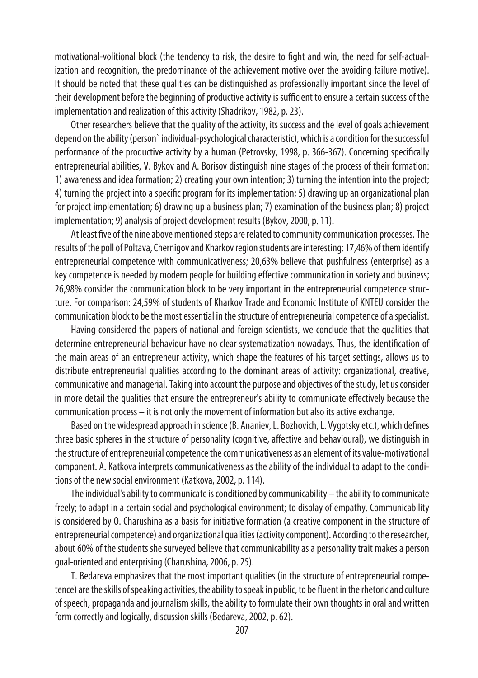motivational-volitional block (the tendency to risk, the desire to fight and win, the need for self-actualization and recognition, the predominance of the achievement motive over the avoiding failure motive). It should be noted that these qualities can be distinguished as professionally important since the level of their development before the beginning of productive activity is sufficient to ensure a certain success of the implementation and realization of this activity (Shadrikov, 1982, p.23).

Other researchers believe that the quality of the activity, its success and the level of goals achievement depend on the ability (person` individual-psychological characteristic), which is a condition for the successful performance of the productive activity by a human (Petrovsky, 1998, p. 366-367). Concerning specifically entrepreneurial abilities, V. Bykov and A. Borisov distinguish nine stages of the process of their formation: 1) awareness and idea formation; 2) creating your own intention; 3) turning the intention into the project; 4) turning the project into a specific program for its implementation; 5) drawing up an organizational plan for project implementation; 6) drawing up a business plan; 7) examination of the business plan; 8) project implementation; 9) analysis of project development results (Bykov, 2000, p.11).

At least five of the nine above mentioned steps are related to community communication processes. The results of the poll of Poltava, Chernigov and Kharkov region students are interesting: 17,46% of them identify entrepreneurial competence with communicativeness; 20,63% believe that pushfulness (enterprise) as a key competence is needed by modern people for building effective communication in society and business; 26,98% consider the communication block to be very important in the entrepreneurial competence structure. For comparison: 24,59% of students of Kharkov Trade and Economic Institute of KNTEU consider the communication block to be the most essential in the structure of entrepreneurial competence of a specialist.

Having considered the papers of national and foreign scientists, we conclude that the qualities that determine entrepreneurial behaviour have no clear systematization nowadays. Thus, the identification of the main areas of an entrepreneur activity, which shape the features of his target settings, allows us to distribute entrepreneurial qualities according to the dominant areas of activity: organizational, creative, communicative and managerial. Taking into account the purpose and objectives of the study, let us consider in more detail the qualities that ensure the entrepreneur's ability to communicate effectively because the communication process – it is not only the movement of information but also its active exchange.

Based on the widespread approach in science (B. Ananiev, L. Bozhovich, L. Vygotskyetc.), which defines three basic spheres in the structure of personality (cognitive, affective and behavioural), we distinguish in the structure of entrepreneurial competence the communicativeness as an element of its value-motivational component. A. Katkova interprets communicativeness as the ability of the individual to adapt to the conditions of the new social environment (Katkova, 2002, p. 114).

The individual's ability to communicate is conditioned by communicability – the ability to communicate freely; to adapt in a certain social and psychological environment; to display of empathy. Communicability is considered by O. Charushina as a basis for initiative formation (a creative component in the structure of entrepreneurial competence) and organizational qualities (activity component). According to the researcher, about 60% of the students she surveyed believe that communicability as a personality trait makes a person goal-oriented and enterprising (Charushina, 2006, p.25).

T. Bedareva emphasizes that the most important qualities (in the structure of entrepreneurial competence) are the skills of speaking activities, the ability to speak in public, to be fluent in the rhetoric and culture of speech, propaganda and journalism skills, the ability to formulate their own thoughts in oral and written form correctly and logically, discussion skills (Bedareva, 2002, p.62).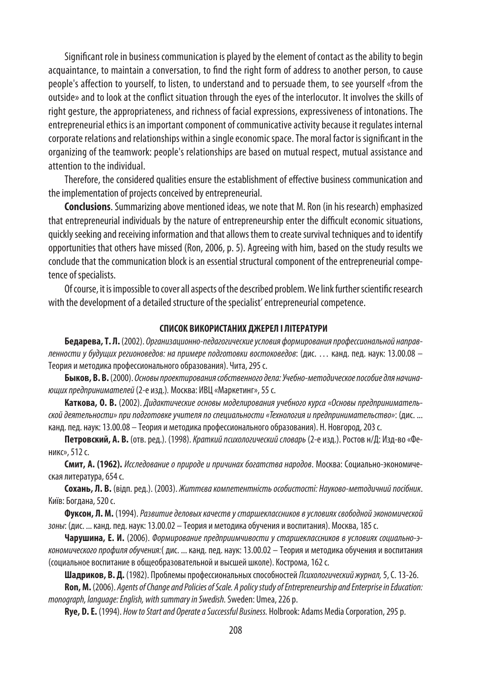Significant role in business communication is played by the element of contact as the ability to begin acquaintance, to maintain a conversation, to find the right form of address to another person, to cause people's affection to yourself, to listen, to understand and to persuade them, to see yourself «from the outside» and to look at the conflict situation through the eyes of the interlocutor. It involves the skills of right gesture, the appropriateness, and richness of facial expressions, expressiveness of intonations. The entrepreneurial ethics is an important component of communicative activity because it regulates internal corporate relations and relationships within a single economic space. The moral factor is significant in the organizing of the teamwork: people's relationships are based on mutual respect, mutual assistance and attention to the individual.

Therefore, the considered qualities ensure the establishment of effective business communication and the implementation of projects conceived by entrepreneurial.

**Conclusions**. Summarizing above mentioned ideas, we note that M. Ron (in his research) emphasized that entrepreneurial individuals by the nature of entrepreneurship enter the difficult economic situations, quickly seeking and receiving information and that allows them to create survival techniques and to identify opportunities that others have missed (Ron, 2006, p.5). Agreeing with him, based on the study results we conclude that the communication block is an essential structural component of the entrepreneurial competence of specialists.

Of course, it is impossible to cover all aspects of the described problem. We link further scientific research with the development of a detailed structure of the specialist' entrepreneurial competence.

### **СПИСОК ВИКОРИСТАНИХ ДЖЕРЕЛ І ЛІТЕРАТУРИ**

**Бедарева, Т. Л.** (2002). *Организационно-педагогические условия формирования профессиональной направленности у будущих регионоведов: на примере подготовки востоковедов*: (дис. … канд. пед. наук: 13.00.08 – Теория и методика профессионального образования). Чита, 295с.

**Быков, В. В.** (2000). *Основы проектирования собственного дела: Учебно-методическое пособие для начинающих предпринимателей*(2-е изд.)*.* Москва: ИВЦ «Маркетинг», 55с.

**Каткова, О. В.** (2002). *Дидактические основы моделирования учебного курса «Основы предпринимательской деятельности» при подготовке учителя по специальности «Технология и предпринимательство»*: (дис. ... канд. пед. наук:13.00.08 – Теория и методика профессионального образования). Н. Новгород, 203с.

**Петровский, А. В.** (отв. ред.). (1998). *Краткий психологический словарь* (2-е изд.). Ростов н/Д: Изд-во «Феникс», 512с.

**Смит, А. (1962).** *Исследование о природе и причинах богатства народов*. Москва: Социально-экономическая литература, 654 с.

**Сохань, Л. В.** (відп. ред.). (2003). *Життєва компетентність особистості: Науково-методичний посібник*. Київ: Богдана, 520 с.

**Фуксон, Л. М.** (1994). *Развитие деловых качеств у старшеклассников в условиях свободной экономической зоны*: (дис. ... канд. пед. наук: 13.00.02 – Теория и методика обучения и воспитания). Москва, 185с.

**Чарушина, Е. И.** (2006). *Формирование предприимчивости у старшеклассников в условиях социально-экономического профиля обучения:*( дис. ... канд. пед. наук: 13.00.02 – Теория и методика обучения и воспитания (социальное воспитание в общеобразовательной и высшей школе). Кострома, 162 с.

**Шадриков, В. Д.** (1982). Проблемы профессиональных способностей *Психологический журнал,* 5, С.13-26.

**Ron, M.** (2006). *Agents of Change and Policies of Scale. A policy study of Entrepreneurship and Enterprise in Education: monograph, language: English, with summary in Swedish.* Sweden: Umea,226p.

**Rye, D.E.** (1994). *How to Start and Operate a Successful Business.* Holbrook: Adams MediaCorporation, 295 p.